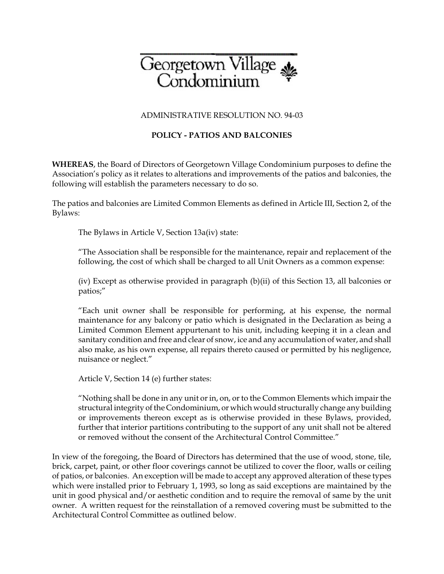

## ADMINISTRATIVE RESOLUTION NO. 94-03

## **POLICY - PATIOS AND BALCONIES**

**WHEREAS**, the Board of Directors of Georgetown Village Condominium purposes to define the Association's policy as it relates to alterations and improvements of the patios and balconies, the following will establish the parameters necessary to do so.

The patios and balconies are Limited Common Elements as defined in Article III, Section 2, of the Bylaws:

The Bylaws in Article V, Section 13a(iv) state:

"The Association shall be responsible for the maintenance, repair and replacement of the following, the cost of which shall be charged to all Unit Owners as a common expense:

(iv) Except as otherwise provided in paragraph (b)(ii) of this Section 13, all balconies or patios;"

"Each unit owner shall be responsible for performing, at his expense, the normal maintenance for any balcony or patio which is designated in the Declaration as being a Limited Common Element appurtenant to his unit, including keeping it in a clean and sanitary condition and free and clear of snow, ice and any accumulation of water, and shall also make, as his own expense, all repairs thereto caused or permitted by his negligence, nuisance or neglect."

Article V, Section 14 (e) further states:

"Nothing shall be done in any unit or in, on, or to the Common Elements which impair the structural integrity of the Condominium, or which would structurally change any building or improvements thereon except as is otherwise provided in these Bylaws, provided, further that interior partitions contributing to the support of any unit shall not be altered or removed without the consent of the Architectural Control Committee."

In view of the foregoing, the Board of Directors has determined that the use of wood, stone, tile, brick, carpet, paint, or other floor coverings cannot be utilized to cover the floor, walls or ceiling of patios, or balconies. An exception will be made to accept any approved alteration of these types which were installed prior to February 1, 1993, so long as said exceptions are maintained by the unit in good physical and/or aesthetic condition and to require the removal of same by the unit owner. A written request for the reinstallation of a removed covering must be submitted to the Architectural Control Committee as outlined below.